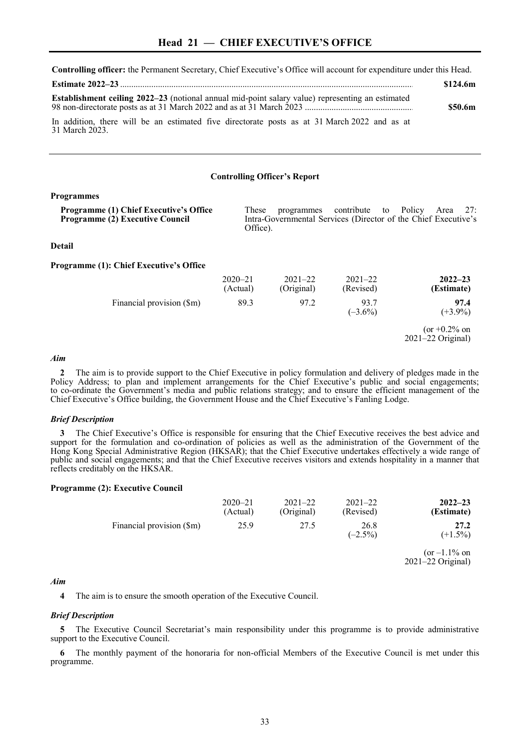**Controlling officer:** the Permanent Secretary, Chief Executive's Office will account for expenditure under this Head.

|                                                                                                                | \$124.6m |
|----------------------------------------------------------------------------------------------------------------|----------|
| <b>Establishment ceiling 2022–23</b> (notional annual mid-point salary value) representing an estimated        | \$50.6m  |
| In addition, there will be an estimated five directorate posts as at 31 March 2022 and as at<br>31 March 2023. |          |

#### **Controlling Officer's Report**

### **Programmes**

| <b>Programme (1) Chief Executive's Office</b> | These    | programmes contribute to Policy Area 27:                       |  |  |  |
|-----------------------------------------------|----------|----------------------------------------------------------------|--|--|--|
| <b>Programme (2) Executive Council</b>        |          | Intra-Governmental Services (Director of the Chief Executive's |  |  |  |
|                                               | Office). |                                                                |  |  |  |

#### **Detail**

#### **Programme (1): Chief Executive's Office**

|                           | $2020 - 21$<br>(Actual) | $2021 - 22$<br>(Original) | $2021 - 22$<br>(Revised) | $2022 - 23$<br>(Estimate)                |
|---------------------------|-------------------------|---------------------------|--------------------------|------------------------------------------|
| Financial provision (\$m) | 89.3                    | 97.2                      | 93.7<br>$(-3.6\%)$       | 97.4<br>$(+3.9\%)$                       |
|                           |                         |                           |                          | (or $+0.2\%$ on<br>$2021 - 22$ Original) |

## *Aim*

**2** The aim is to provide support to the Chief Executive in policy formulation and delivery of pledges made in the Policy Address; to plan and implement arrangements for the Chief Executive's public and social engagements; to co-ordinate the Government's media and public relations strategy; and to ensure the efficient management of the Chief Executive's Office building, the Government House and the Chief Executive's Fanling Lodge.

## *Brief Description*

**3** The Chief Executive's Office is responsible for ensuring that the Chief Executive receives the best advice and support for the formulation and co-ordination of policies as well as the administration of the Government of the Hong Kong Special Administrative Region (HKSAR); that the Chief Executive undertakes effectively a wide range of public and social engagements; and that the Chief Executive receives visitors and extends hospitality in a manner that reflects creditably on the HKSAR.

### **Programme (2): Executive Council**

|                           | $2020 - 21$<br>(Actual) | $2021 - 22$<br>(Original) | $2021 - 22$<br>(Revised) | $2022 - 23$<br>(Estimate)                |
|---------------------------|-------------------------|---------------------------|--------------------------|------------------------------------------|
| Financial provision (\$m) | 25.9                    | 27.5                      | 26.8<br>$(-2.5\%)$       | 27.2<br>$(+1.5\%)$                       |
|                           |                         |                           |                          | $(or -1.1\% on$<br>$2021 - 22$ Original) |

## *Aim*

**4** The aim is to ensure the smooth operation of the Executive Council.

### *Brief Description*

**5** The Executive Council Secretariat's main responsibility under this programme is to provide administrative support to the Executive Council.

**6** The monthly payment of the honoraria for non-official Members of the Executive Council is met under this programme.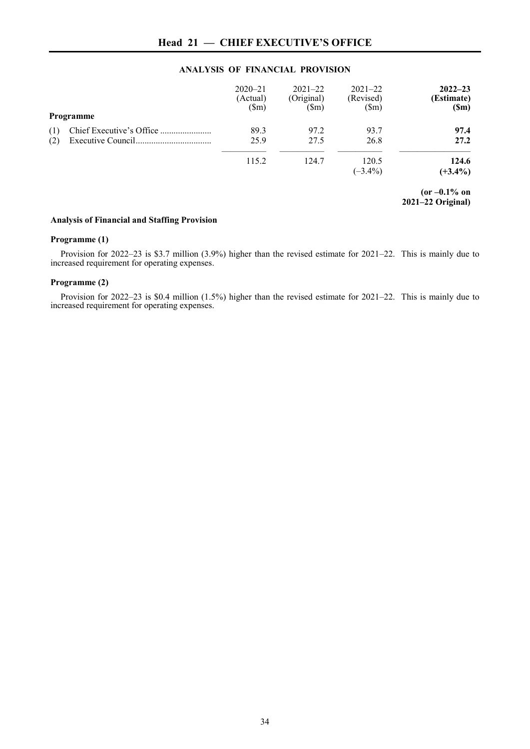## **ANALYSIS OF FINANCIAL PROVISION**

|            | Programme | $2020 - 21$<br>(Actual)<br>$(\text{Sm})$ | $2021 - 22$<br>(Original)<br>$(\text{Sm})$ | $2021 - 22$<br>(Revised)<br>$(\text{Sm})$ | $2022 - 23$<br>(Estimate)<br>(Sm)      |
|------------|-----------|------------------------------------------|--------------------------------------------|-------------------------------------------|----------------------------------------|
| (1)<br>(2) |           | 89.3<br>25.9                             | 97.2<br>27.5                               | 93.7<br>26.8                              | 97.4<br>27.2                           |
|            |           | 115.2                                    | 124.7                                      | 120.5<br>$(-3.4\%)$                       | 124.6<br>$(+3.4\%)$                    |
|            |           |                                          |                                            |                                           | $(or -0.1\% on$<br>$2021-22$ Original) |

# **Analysis of Financial and Staffing Provision**

## **Programme (1)**

Provision for 2022–23 is \$3.7 million (3.9%) higher than the revised estimate for 2021–22. This is mainly due to increased requirement for operating expenses.

## **Programme (2)**

Provision for 2022–23 is \$0.4 million (1.5%) higher than the revised estimate for 2021–22. This is mainly due to increased requirement for operating expenses.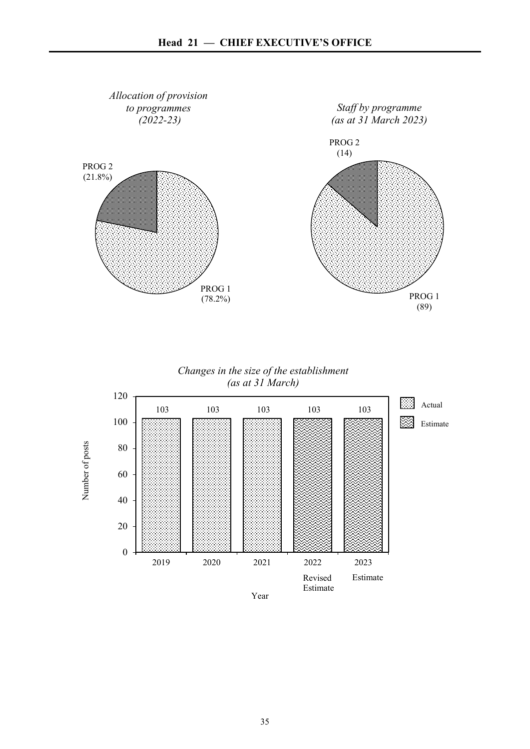

*Changes in the size of the establishment (as at 31 March)*

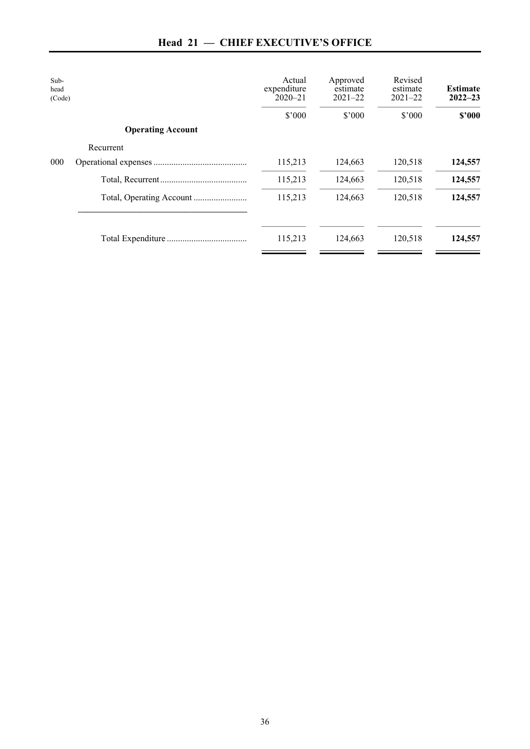| <b>Head 21 – CHIEF EXECUTIVE'S OFFICE</b> |  |  |  |
|-------------------------------------------|--|--|--|
|-------------------------------------------|--|--|--|

| Sub-<br>head<br>(Code) |                          | Actual<br>expenditure<br>$2020 - 21$ | Approved<br>estimate<br>$2021 - 22$ | Revised<br>estimate<br>$2021 - 22$ | <b>Estimate</b><br>$2022 - 23$ |
|------------------------|--------------------------|--------------------------------------|-------------------------------------|------------------------------------|--------------------------------|
|                        |                          | \$'000                               | \$'000                              | \$'000                             | \$2000                         |
|                        | <b>Operating Account</b> |                                      |                                     |                                    |                                |
|                        | Recurrent                |                                      |                                     |                                    |                                |
| 000                    |                          | 115,213                              | 124,663                             | 120,518                            | 124,557                        |
|                        |                          | 115,213                              | 124,663                             | 120,518                            | 124,557                        |
|                        |                          | 115,213                              | 124,663                             | 120,518                            | 124,557                        |
|                        |                          | 115,213                              | 124,663                             | 120,518                            | 124,557                        |